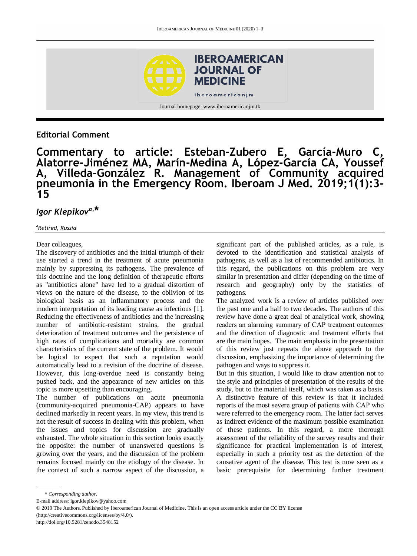

## **Editorial Comment**

**Commentary to article: Esteban-Zubero E, García-Muro C, Alatorre-Jiménez MA, Marín-Medina A, López-García CA, Youssef A, Villeda-González R. Management of Community acquired pneumonia in the Emergency Room. Iberoam J Med. 2019;1(1):3- 15**

# *Igor Klepikova,* **\***

#### *a Retired, Russia*

#### Dear colleagues,

The discovery of antibiotics and the initial triumph of their use started a trend in the treatment of acute pneumonia mainly by suppressing its pathogens. The prevalence of this doctrine and the long definition of therapeutic efforts as "antibiotics alone" have led to a gradual distortion of views on the nature of the disease, to the oblivion of its biological basis as an inflammatory process and the modern interpretation of its leading cause as infectious [1]. Reducing the effectiveness of antibiotics and the increasing number of antibiotic-resistant strains, the gradual deterioration of treatment outcomes and the persistence of high rates of complications and mortality are common characteristics of the current state of the problem. It would be logical to expect that such a reputation would automatically lead to a revision of the doctrine of disease. However, this long-overdue need is constantly being pushed back, and the appearance of new articles on this topic is more upsetting than encouraging.

The number of publications on acute pneumonia (community-acquired pneumonia-CAP) appears to have declined markedly in recent years. In my view, this trend is not the result of success in dealing with this problem, when the issues and topics for discussion are gradually exhausted. The whole situation in this section looks exactly the opposite: the number of unanswered questions is growing over the years, and the discussion of the problem remains focused mainly on the etiology of the disease. In the context of such a narrow aspect of the discussion, a

significant part of the published articles, as a rule, is devoted to the identification and statistical analysis of pathogens, as well as a list of recommended antibiotics. In this regard, the publications on this problem are very similar in presentation and differ (depending on the time of research and geography) only by the statistics of pathogens.

The analyzed work is a review of articles published over the past one and a half to two decades. The authors of this review have done a great deal of analytical work, showing readers an alarming summary of CАP treatment outcomes and the direction of diagnostic and treatment efforts that are the main hopes. The main emphasis in the presentation of this review just repeats the above approach to the discussion, emphasizing the importance of determining the pathogen and ways to suppress it.

But in this situation, I would like to draw attention not to the style and principles of presentation of the results of the study, but to the material itself, which was taken as a basis. A distinctive feature of this review is that it included reports of the most severe group of patients with САР who were referred to the emergency room. The latter fact serves as indirect evidence of the maximum possible examination of these patients. In this regard, a more thorough assessment of the reliability of the survey results and their significance for practical implementation is of interest, especially in such a priority test as the detection of the causative agent of the disease. This test is now seen as a basic prerequisite for determining further treatment

<sup>\*</sup> *Corresponding author.*

E-mail address: igor.klepikov@yahoo.com

<sup>© 2019</sup> The Authors. Published by Iberoamerican Journal of Medicine. This is an open access article under the CC BY license

<sup>(</sup>http://creativecommons.org/licenses/by/4.0/).

http://doi.org/10.5281/zenodo.3548152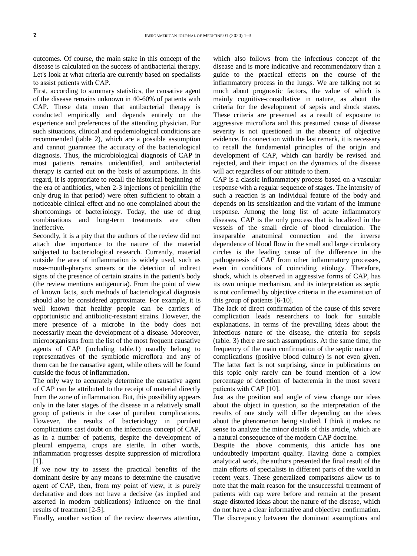outcomes. Of course, the main stake in this concept of the disease is calculated on the success of antibacterial therapy. Let's look at what criteria are currently based on specialists to assist patients with САР.

First, according to summary statistics, the causative agent of the disease remains unknown in 40-60% of patients with CAP. These data mean that antibacterial therapy is conducted empirically and depends entirely on the experience and preferences of the attending physician. For such situations, clinical and epidemiological conditions are recommended (table 2), which are a possible assumption and cannot guarantee the accuracy of the bacteriological diagnosis. Thus, the microbiological diagnosis of CAP in most patients remains unidentified, and antibacterial therapy is carried out on the basis of assumptions. In this regard, it is appropriate to recall the historical beginning of the era of antibiotics, when 2-3 injections of penicillin (the only drug in that period) were often sufficient to obtain a noticeable clinical effect and no one complained about the shortcomings of bacteriology. Today, the use of drug combinations and long-term treatments are often ineffective.

Secondly, it is a pity that the authors of the review did not attach due importance to the nature of the material subjected to bacteriological research. Currently, material outside the area of inflammation is widely used, such as nose-mouth-pharynx smears or the detection of indirect signs of the presence of certain strains in the patient's body (the review mentions antigenuria). From the point of view of known facts, such methods of bacteriological diagnosis should also be considered approximate. For example, it is well known that healthy people can be carriers of opportunistic and antibiotic-resistant strains. However, the mere presence of a microbe in the body does not necessarily mean the development of a disease. Moreover, microorganisms from the list of the most frequent causative agents of CAP (including table.1) usually belong to representatives of the symbiotic microflora and any of them can be the causative agent, while others will be found outside the focus of inflammation.

The only way to accurately determine the causative agent of CAP can be attributed to the receipt of material directly from the zone of inflammation. But, this possibility appears only in the later stages of the disease in a relatively small group of patients in the case of purulent complications. However, the results of bacteriology in purulent complications cast doubt on the infectious concept of CAP, as in a number of patients, despite the development of pleural empyema, crops are sterile. In other words, inflammation progresses despite suppression of microflora [1].

If we now try to assess the practical benefits of the dominant desire by any means to determine the causative agent of CАP, then, from my point of view, it is purely declarative and does not have a decisive (as implied and asserted in modern publications) influence on the final results of treatment [2-5].

Finally, another section of the review deserves attention,

which also follows from the infectious concept of the disease and is more indicative and recommendatory than a guide to the practical effects on the course of the inflammatory process in the lungs. We are talking not so much about prognostic factors, the value of which is mainly cognitive-consultative in nature, as about the criteria for the development of sepsis and shock states. These criteria are presented as a result of exposure to aggressive microflora and this presumed cause of disease severity is not questioned in the absence of objective evidence. In connection with the last remark, it is necessary to recall the fundamental principles of the origin and development of CAP, which can hardly be revised and rejected, and their impact on the dynamics of the disease will act regardless of our attitude to them.

CAP is a classic inflammatory process based on a vascular response with a regular sequence of stages. The intensity of such a reaction is an individual feature of the body and depends on its sensitization and the variant of the immune response. Among the long list of acute inflammatory diseases, CAP is the only process that is localized in the vessels of the small circle of blood circulation. The inseparable anatomical connection and the inverse dependence of blood flow in the small and large circulatory circles is the leading cause of the difference in the pathogenesis of CAP from other inflammatory processes, even in conditions of coinciding etiology. Therefore, shock, which is observed in aggressive forms of CAP, has its own unique mechanism, and its interpretation as septic is not confirmed by objective criteria in the examination of this group of patients [6-10].

The lack of direct confirmation of the cause of this severe complication leads researchers to look for suitable explanations. In terms of the prevailing ideas about the infectious nature of the disease, the criteria for sepsis (table. 3) there are such assumptions. At the same time, the frequency of the main confirmation of the septic nature of complications (positive blood culture) is not even given. The latter fact is not surprising, since in publications on this topic only rarely can be found mention of a low percentage of detection of bacteremia in the most severe patients with САР [10].

Just as the position and angle of view change our ideas about the object in question, so the interpretation of the results of one study will differ depending on the ideas about the phenomenon being studied. I think it makes no sense to analyze the minor details of this article, which are a natural consequence of the modern CAP doctrine.

Despite the above comments, this article has one undoubtedly important quality. Having done a complex analytical work, the authors presented the final result of the main efforts of specialists in different parts of the world in recent years. These generalized comparisons allow us to note that the main reason for the unsuccessful treatment of patients with cap were before and remain at the present stage distorted ideas about the nature of the disease, which do not have a clear informative and objective confirmation. The discrepancy between the dominant assumptions and